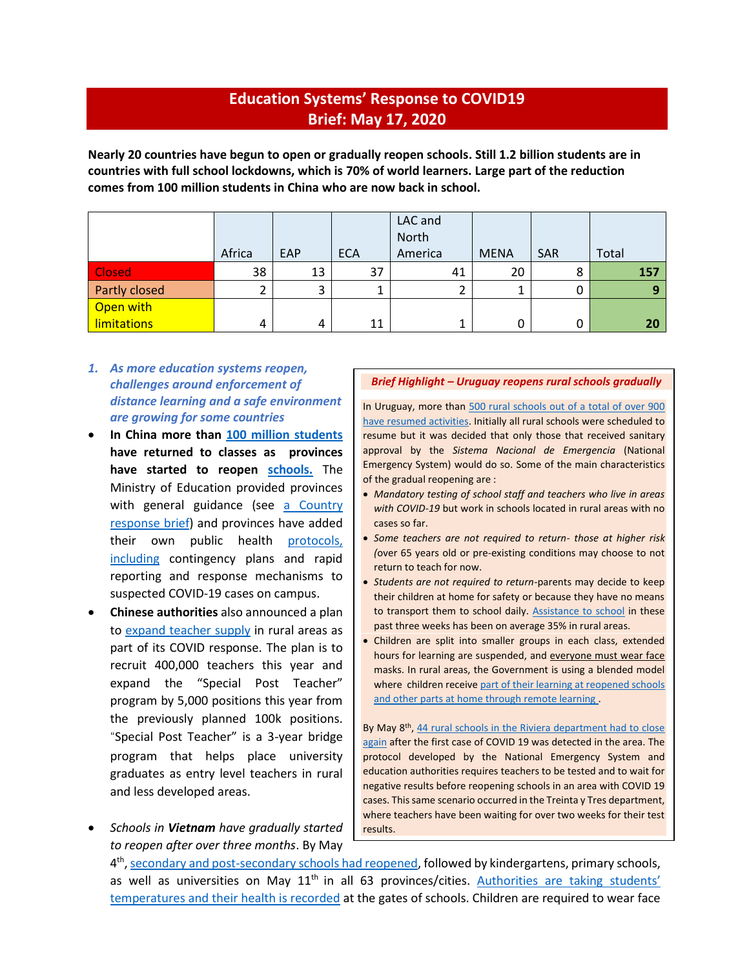## **Education Systems' Response to COVID19 Brief: May 17, 2020**

**Nearly 20 countries have begun to open or gradually reopen schools. Still 1.2 billion students are in countries with full school lockdowns, which is 70% of world learners. Large part of the reduction comes from 100 million students in China who are now back in school.**

|                    |        |     |            | LAC and<br>North |             |            |       |
|--------------------|--------|-----|------------|------------------|-------------|------------|-------|
|                    | Africa | EAP | <b>ECA</b> | America          | <b>MENA</b> | <b>SAR</b> | Total |
| <b>Closed</b>      | 38     | 13  | 37         | 41               | 20          | Õ          | 157   |
| Partly closed      |        | 3   |            |                  |             |            | о     |
| Open with          |        |     |            |                  |             |            |       |
| <b>limitations</b> | 4      | 4   | 11         |                  | 0           |            | 20    |

- *1. As more education systems reopen, challenges around enforcement of distance learning and a safe environment are growing for some countries*
- **In China more than [100 million students](https://www.scmp.com/video/coronavirus/3084158/what-back-school-means-chinas-students-coronavirus-outbreak-eases) have returned to classes as provinces have started to reopen [schools.](http://documents.worldbank.org/curated/en/743891587996521873/pdf/Response-to-COVID-19-Preparing-for-School-Re-Opening-The-Case-of-China.pdf)** The Ministry of Education provided provinces with general guidance (see [a Country](http://documents.worldbank.org/curated/en/743891587996521873/)  [response brief\)](http://documents.worldbank.org/curated/en/743891587996521873/) and provinces have added their own public health [protocols,](http://documents.worldbank.org/curated/en/743891587996521873/pdf/Response-to-COVID-19-Preparing-for-School-Re-Opening-The-Case-of-China.pdf) including contingency plans and rapid reporting and response mechanisms to suspected COVID-19 cases on campus.
- **Chinese authorities** also announced a plan to [expand teacher supply](http://paper.people.com.cn/rmrb/html/2020-05/14/nw.D110000renmrb_20200514_5-12.htm) in rural areas as part of its COVID response. The plan is to recruit 400,000 teachers this year and expand the "Special Post Teacher" program by 5,000 positions this year from the previously planned 100k positions. "Special Post Teacher" is a 3-year bridge program that helps place university graduates as entry level teachers in rural and less developed areas.
- *Schools in Vietnam have gradually started to reopen after over three months*. By May

#### *Brief Highlight – Uruguay reopens rural schools gradually*

In Uruguay, more than 500 rural schools [out of a total of over 900](https://educacion.ladiaria.com.uy/articulo/2020/4/el-gobierno-flexibilizo-comienzo-de-clases-en-escuelas-rurales-solo-retomaran-las-que-tengan-las-condiciones-adecuadas/) [have resumed activities.](https://educacion.ladiaria.com.uy/articulo/2020/4/el-gobierno-flexibilizo-comienzo-de-clases-en-escuelas-rurales-solo-retomaran-las-que-tengan-las-condiciones-adecuadas/) Initially all rural schools were scheduled to resume but it was decided that only those that received sanitary approval by the *Sistema Nacional de Emergencia* (National Emergency System) would do so. Some of the main characteristics of the gradual reopening are :

- *Mandatory testing of school staff and teachers who live in areas with COVID-19* but work in schools located in rural areas with no cases so far.
- *Some teachers are not required to return- those at higher risk (*over 65 years old or pre-existing conditions may choose to not return to teach for now.
- *Students are not required to return-*parents may decide to keep their children at home for safety or because they have no means to transport them to school daily. [Assistance to school](https://educacion.ladiaria.com.uy/articulo/2020/5/44-escuelas-rurales-de-rivera-tuvieron-que-volver-a-cerrar-tras-primer-caso-de-covid-19-en-el-departamento/) in these past three weeks has been on average 35% in rural areas.
- Children are split into smaller groups in each class, extended hours for learning are suspended, and everyone must wear face masks. In rural areas, the Government is using a blended model where children receive part of their learning at reopened schools and other parts at home through remote learning.

By May 8<sup>th</sup>, 44 rural schools in the Riviera department had to close [again](https://educacion.ladiaria.com.uy/articulo/2020/5/44-escuelas-rurales-de-rivera-tuvieron-que-volver-a-cerrar-tras-primer-caso-de-covid-19-en-el-departamento/) after the first case of COVID 19 was detected in the area. The protocol developed by the National Emergency System and education authorities requires teachers to be tested and to wait for negative results before reopening schools in an area with COVID 19 cases. This same scenario occurred in the Treinta y Tres department, where teachers have been waiting for over two weeks for their test results.

4<sup>th</sup>, <u>secondary and post-secondary schools had reopened</u>, followed by kindergartens, primary schools, as well as universities on May 11<sup>th</sup> in all 63 provinces/cities. [Authorities are taking](https://abcnews.go.com/Health/wireStory/asia-today-cases-zealand-malaysia-reopens-70482895) students' [temperatures and their health is recorded](https://abcnews.go.com/Health/wireStory/asia-today-cases-zealand-malaysia-reopens-70482895) at the gates of schools. Children are required to wear face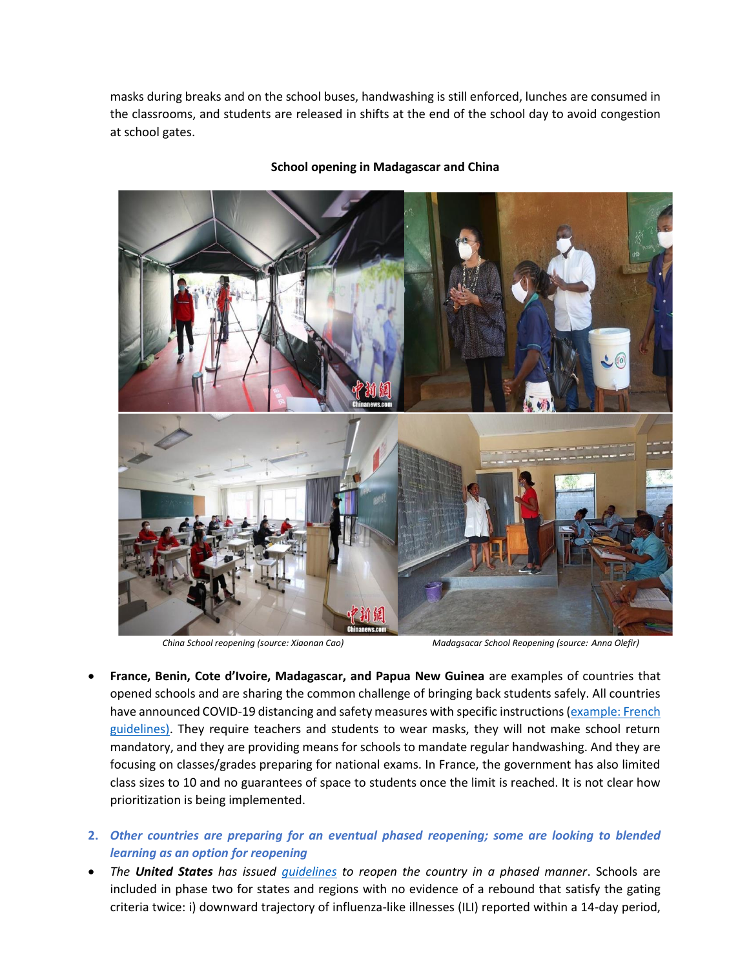masks during breaks and on the school buses, handwashing is still enforced, lunches are consumed in the classrooms, and students are released in shifts at the end of the school day to avoid congestion at school gates.



#### **School opening in Madagascar and China**

*China School reopening (source: Xiaonan Cao) Madagsacar School Reopening (source: Anna Olefir)*

- **France, Benin, Cote d'Ivoire, Madagascar, and Papua New Guinea** are examples of countries that opened schools and are sharing the common challenge of bringing back students safely. All countries have announced COVID-19 distancing and safety measures with specific instructions (example: French [guidelines\).](https://www.gouvernement.fr/partage/11535-strategie-nationale-de-deconfinement) They require teachers and students to wear masks, they will not make school return mandatory, and they are providing means for schools to mandate regular handwashing. And they are focusing on classes/grades preparing for national exams. In France, the government has also limited class sizes to 10 and no guarantees of space to students once the limit is reached. It is not clear how prioritization is being implemented.
- **2.** *Other countries are preparing for an eventual phased reopening; some are looking to blended learning as an option for reopening*
- *The United States has issued [guidelines](https://www.whitehouse.gov/openingamerica/) to reopen the country in a phased manner*. Schools are included in phase two for states and regions with no evidence of a rebound that satisfy the gating criteria twice: i) downward trajectory of influenza-like illnesses (ILI) reported within a 14-day period,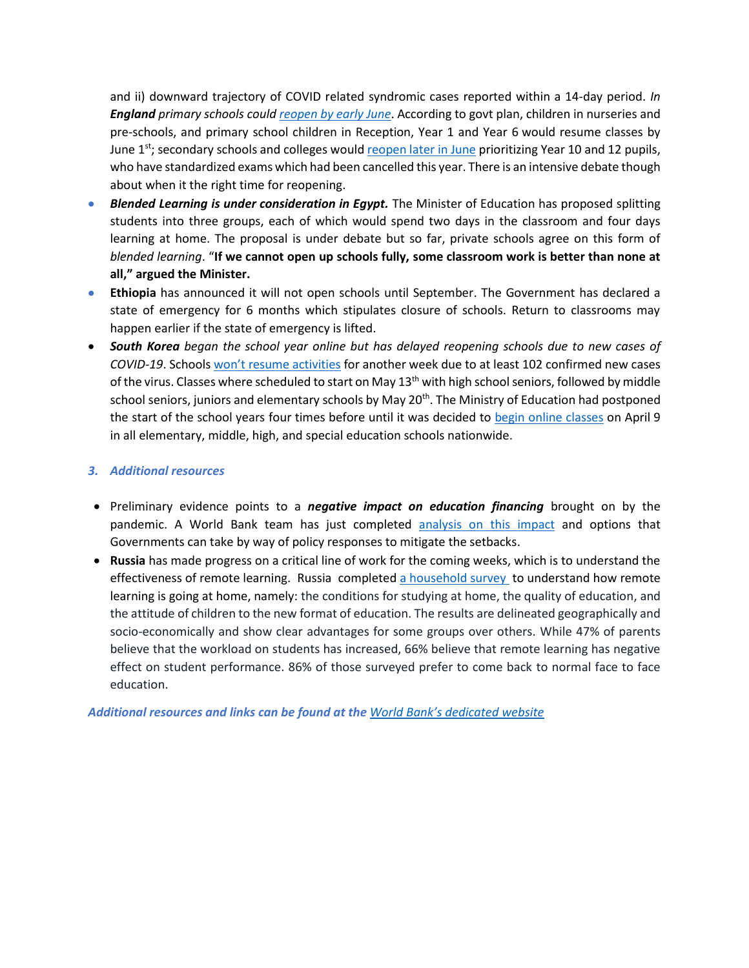and ii) downward trajectory of COVID related syndromic cases reported within a 14-day period. *In England primary schools coul[d reopen by early June](https://www.npr.org/sections/coronavirus-live-updates/2020/05/10/853538566/boris-johnson-outlines-plan-to-ease-coronavirus-restrictions-in-u-k)*. According to govt plan, children in nurseries and pre-schools, and primary school children in Reception, Year 1 and Year 6 would resume classes by June 1<sup>st</sup>; secondary schools and colleges woul[d reopen later in June](https://www.bbc.com/news/education-51643556) prioritizing Year 10 and 12 pupils, who have standardized exams which had been cancelled this year. There is an intensive debate though about when it the right time for reopening.

- *[Blended Learning is under consideration in Egypt.](https://enterprise.press/stories/2020/05/11/as-the-debate-over-back-to-school-intensifies-egypts-private-schools-prefer-a-transition-back-to-the-classroom-in-the-fall-15805/)* The Minister of Education has proposed splitting students into three groups, each of which would spend two days in the classroom and four days learning at home. The proposal is under debate but so far, private schools agree on this form of *blended learning*. "**If we cannot open up schools fully, some classroom work is better than none at all," argued the Minister.**
- **Ethiopia** has announced it will not open schools until September. The Government has declared a state of emergency for 6 months which stipulates closure of schools. Return to classrooms may happen earlier if the state of emergency is lifted.
- *South Korea began the school year online but has delayed reopening schools due to new cases of COVID-19*. Schools [won't resume activities](https://www.npr.org/sections/coronavirus-live-updates/2020/05/12/854407305/south-korea-delays-reopening-schools-as-coronavirus-cases-resurge?utm_campaign=storyshare&utm_source=twitter.com&utm_medium=social) for another week due to at least 102 confirmed new cases of the virus. Classes where scheduled to start on May 13<sup>th</sup> with high school seniors, followed by middle school seniors, juniors and elementary schools by May 20<sup>th</sup>. The Ministry of Education had postponed the start of the school years four times before until it was decided to [begin online classes](https://www.moe.go.kr/boardCnts/view.do?boardID=294&boardSeq=80160&lev=0&searchType=null&statusYN=W&page=1&s=moe&m=020402&opType=N) on April 9 in all elementary, middle, high, and special education schools nationwide.

### *3. Additional resources*

- Preliminary evidence points to a *negative impact on education financing* brought on by the pandemic. A World Bank team has just completed [analysis on this impact](http://documents.worldbank.org/curated/en/479041589318526060/The-Impact-of-the-COVID-19-Pandemic-on-Education-Financing) and options that Governments can take by way of policy responses to mitigate the setbacks.
- **Russia** has made progress on a critical line of work for the coming weeks, which is to understand the effectiveness of remote learning. Russia completed [a household survey](https://covid19.fom.ru/post/distancionnoe-obrazovanie-vpechatleniya-shkolnikov-i-roditelej) to understand how remote learning is going at home, namely: the conditions for studying at home, the quality of education, and the attitude of children to the new format of education. The results are delineated geographically and socio-economically and show clear advantages for some groups over others. While 47% of parents believe that the workload on students has increased, 66% believe that remote learning has negative effect on student performance. 86% of those surveyed prefer to come back to normal face to face education.

*Additional resources and links can be found at the World Bank['s dedicated](https://www.worldbank.org/en/data/interactive/2020/03/24/world-bank-education-and-covid-19) website*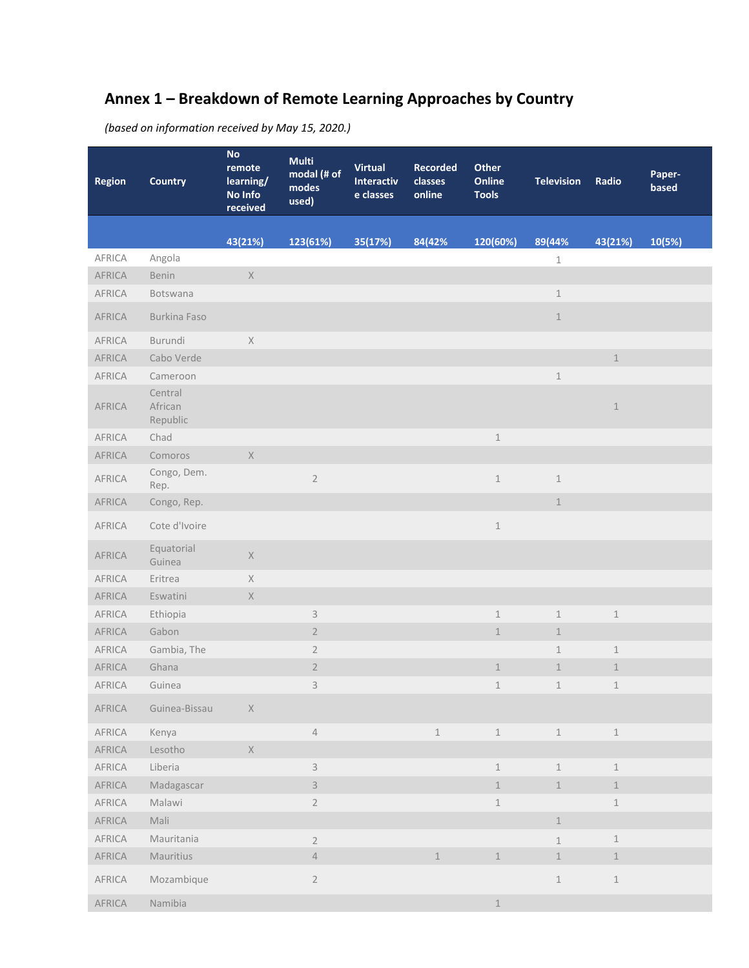# **Annex 1 – Breakdown of Remote Learning Approaches by Country**

*(based on information received by May 15, 2020.)*

| <b>Region</b> | <b>Country</b>                 | No<br>remote<br>learning/<br>No Info<br>received                      | <b>Multi</b><br>modal (# of<br>modes<br>used) | <b>Virtual</b><br>Interactiv<br>e classes | <b>Recorded</b><br>classes<br>online | Other<br>Online<br><b>Tools</b> | <b>Television</b> | Radio                      | Paper-<br>based |
|---------------|--------------------------------|-----------------------------------------------------------------------|-----------------------------------------------|-------------------------------------------|--------------------------------------|---------------------------------|-------------------|----------------------------|-----------------|
|               |                                | 43(21%)                                                               | 123(61%)                                      | 35(17%)                                   | 84(42%                               | 120(60%)                        | 89(44%            | 43(21%)                    | 10(5%)          |
| AFRICA        | Angola                         |                                                                       |                                               |                                           |                                      |                                 | $1\,$             |                            |                 |
| AFRICA        | Benin                          | $\mathsf X$                                                           |                                               |                                           |                                      |                                 |                   |                            |                 |
| AFRICA        | Botswana                       |                                                                       |                                               |                                           |                                      |                                 | $1\,$             |                            |                 |
| AFRICA        | Burkina Faso                   |                                                                       |                                               |                                           |                                      |                                 | $\perp$           |                            |                 |
| AFRICA        | Burundi                        | $\mathsf X$                                                           |                                               |                                           |                                      |                                 |                   |                            |                 |
| AFRICA        | Cabo Verde                     |                                                                       |                                               |                                           |                                      |                                 |                   | $\,1\,$                    |                 |
| AFRICA        | Cameroon                       |                                                                       |                                               |                                           |                                      |                                 | $\,1\,$           |                            |                 |
| AFRICA        | Central<br>African<br>Republic |                                                                       |                                               |                                           |                                      |                                 |                   | $1\,$                      |                 |
| AFRICA        | Chad                           |                                                                       |                                               |                                           |                                      | $1\,$                           |                   |                            |                 |
| AFRICA        | Comoros                        | $\mathsf X$                                                           |                                               |                                           |                                      |                                 |                   |                            |                 |
| AFRICA        | Congo, Dem.<br>Rep.            |                                                                       | $\sqrt{2}$                                    |                                           |                                      | $\,1\,$                         | $\,1\,$           |                            |                 |
| AFRICA        | Congo, Rep.                    |                                                                       |                                               |                                           |                                      |                                 | $\mathbf 1$       |                            |                 |
| AFRICA        | Cote d'Ivoire                  |                                                                       |                                               |                                           |                                      | $\,1\,$                         |                   |                            |                 |
| AFRICA        | Equatorial<br>Guinea           | $\mathsf{X}% _{\mathsf{X}}^{\prime}=\mathsf{X}_{\mathsf{X}}^{\prime}$ |                                               |                                           |                                      |                                 |                   |                            |                 |
| AFRICA        | Eritrea                        | $\mathsf X$                                                           |                                               |                                           |                                      |                                 |                   |                            |                 |
| AFRICA        | Eswatini                       | $\mathsf X$                                                           |                                               |                                           |                                      |                                 |                   |                            |                 |
| AFRICA        | Ethiopia                       |                                                                       | $\ensuremath{\mathsf{3}}$                     |                                           |                                      | $\mathbf 1$                     | $\mathbf 1$       | $1\,$                      |                 |
| AFRICA        | Gabon                          |                                                                       | $\sqrt{2}$                                    |                                           |                                      | $\mathbbm{1}$                   | $\mathbf 1$       |                            |                 |
| AFRICA        | Gambia, The                    |                                                                       | $\sqrt{2}$                                    |                                           |                                      |                                 | $\mathbf 1$       | $\perp$                    |                 |
| AFRICA        | Ghana                          |                                                                       | $\overline{2}$                                |                                           |                                      | $\mathbf{1}$                    | $\mathbf 1$       | $\mathbf 1$                |                 |
| <b>AFRICA</b> | Guinea                         |                                                                       | 3                                             |                                           |                                      | $1\,$                           | $\mathbf 1$       | $\mathbf 1$                |                 |
| AFRICA        | Guinea-Bissau                  | $\times$                                                              |                                               |                                           |                                      |                                 |                   |                            |                 |
| AFRICA        | Kenya                          |                                                                       | $\sqrt{4}$                                    |                                           | $\perp$                              | $\mathbbm{1}$                   | $\,1\,$           | $\ensuremath{\mathbbm{1}}$ |                 |
| AFRICA        | Lesotho                        | $\mathsf X$                                                           |                                               |                                           |                                      |                                 |                   |                            |                 |
| AFRICA        | Liberia                        |                                                                       | $\mathsf 3$                                   |                                           |                                      | $\,1\,$                         | $\perp$           | $\,1\,$                    |                 |
| AFRICA        | Madagascar                     |                                                                       | $\mathsf 3$                                   |                                           |                                      | $\,1\,$                         | $\,1\,$           | $\ensuremath{\mathbbm 1}$  |                 |
| AFRICA        | Malawi                         |                                                                       | $\sqrt{2}$                                    |                                           |                                      | $\,1\,$                         |                   | $\,1$                      |                 |
| AFRICA        | Mali                           |                                                                       |                                               |                                           |                                      |                                 | $\perp$           |                            |                 |
| AFRICA        | Mauritania                     |                                                                       | $2\,$                                         |                                           |                                      |                                 | $\mathbf{1}$      | $\,1$                      |                 |
| AFRICA        | Mauritius                      |                                                                       | $\sqrt{4}$                                    |                                           | $1\,$                                | $\ensuremath{\mathbbm 1}$       | $\,1\,$           | $1\,$                      |                 |
| AFRICA        | Mozambique                     |                                                                       | $\sqrt{2}$                                    |                                           |                                      |                                 | $\,1\,$           | $\,1\,$                    |                 |
| AFRICA        | Namibia                        |                                                                       |                                               |                                           |                                      | $\,1\,$                         |                   |                            |                 |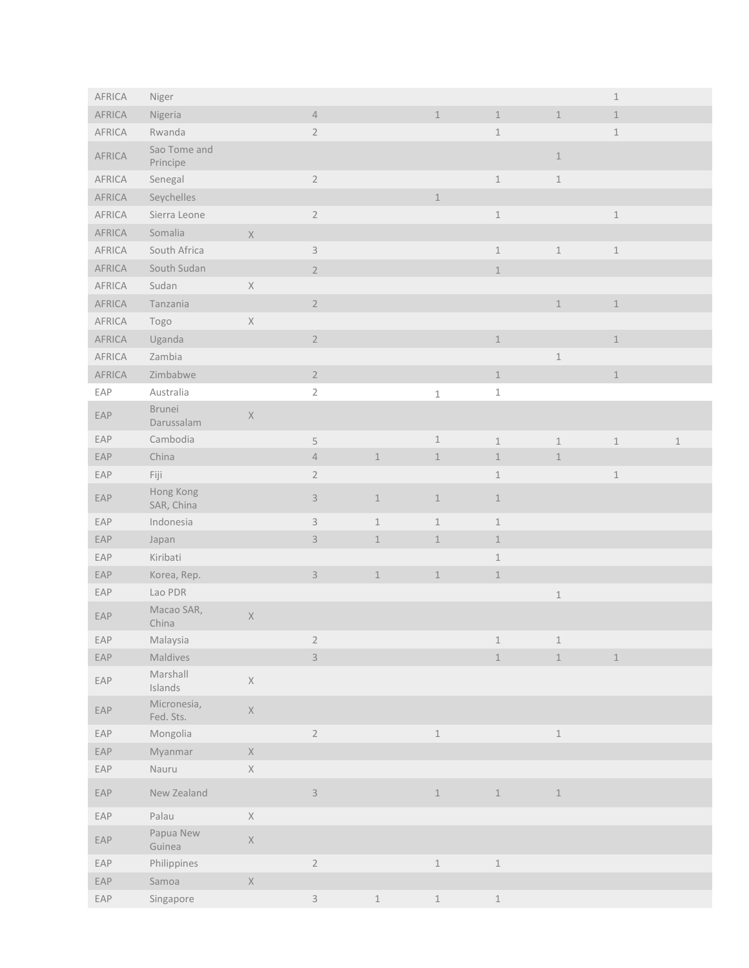| AFRICA | Niger                    |             |                           |             |                            |                           |                            | $1\,$                     |         |
|--------|--------------------------|-------------|---------------------------|-------------|----------------------------|---------------------------|----------------------------|---------------------------|---------|
| AFRICA | Nigeria                  |             | $\ensuremath{\mathsf{4}}$ |             | $\ensuremath{\mathbbm{1}}$ | $1\,$                     | $\,1\,$                    | $\mathbbm{1}$             |         |
| AFRICA | Rwanda                   |             | $\sqrt{2}$                |             |                            | $\,1\,$                   |                            | $\mathbf 1$               |         |
| AFRICA | Sao Tome and<br>Principe |             |                           |             |                            |                           | $\ensuremath{\mathbbm{1}}$ |                           |         |
| AFRICA | Senegal                  |             | $\sqrt{2}$                |             |                            | $\,1\,$                   | $\,1\,$                    |                           |         |
| AFRICA | Seychelles               |             |                           |             | $\perp$                    |                           |                            |                           |         |
| AFRICA | Sierra Leone             |             | $\sqrt{2}$                |             |                            | $\,1\,$                   |                            | $\mathbbm{1}$             |         |
| AFRICA | Somalia                  | $\mathsf X$ |                           |             |                            |                           |                            |                           |         |
| AFRICA | South Africa             |             | $\mathsf 3$               |             |                            | $\,1\,$                   | $\,1\,$                    | $\mathbbm{1}$             |         |
| AFRICA | South Sudan              |             | $\overline{2}$            |             |                            | $\mathbbm{1}$             |                            |                           |         |
| AFRICA | Sudan                    | $\mathsf X$ |                           |             |                            |                           |                            |                           |         |
| AFRICA | Tanzania                 |             | $\overline{2}$            |             |                            |                           | $\,1\,$                    | $\mathbbm{1}$             |         |
| AFRICA | Togo                     | $\mathsf X$ |                           |             |                            |                           |                            |                           |         |
| AFRICA | Uganda                   |             | $\sqrt{2}$                |             |                            | $\ensuremath{\mathbbm 1}$ |                            | $1\,$                     |         |
| AFRICA | Zambia                   |             |                           |             |                            |                           | $\,1\,$                    |                           |         |
| AFRICA | Zimbabwe                 |             | $\overline{2}$            |             |                            | $\perp$                   |                            | $\,1\,$                   |         |
| EAP    | Australia                |             | $\sqrt{2}$                |             | $\mathbf 1$                | $\mathbbm{1}$             |                            |                           |         |
| EAP    | Brunei<br>Darussalam     | $\mathsf X$ |                           |             |                            |                           |                            |                           |         |
| EAP    | Cambodia                 |             | $\mathsf S$               |             | $\ensuremath{\mathbbm{1}}$ | $\,1\,$                   | $\,1\,$                    | $\mathbbm{1}$             | $\,1\,$ |
| EAP    | China                    |             | $\ensuremath{\mathsf{4}}$ | $\,1\,$     | $\ensuremath{\mathbbm{1}}$ | $\,1\,$                   | $\perp$                    |                           |         |
| EAP    | Fiji                     |             | $2\,$                     |             |                            | $\,1\,$                   |                            | $\mathbbm{1}$             |         |
| EAP    | Hong Kong<br>SAR, China  |             | $\mathsf 3$               | $\perp$     | $\perp$                    | $\mathbf 1$               |                            |                           |         |
| EAP    | Indonesia                |             | $\mathsf 3$               | $\mathbf 1$ | $\mathbf{1}$               | $\mathbf 1$               |                            |                           |         |
| EAP    | Japan                    |             | $\mathsf 3$               | $\mathbf 1$ | $\,1\,$                    | $1\,$                     |                            |                           |         |
| EAP    | Kiribati                 |             |                           |             |                            | $\perp$                   |                            |                           |         |
| EAP    | Korea, Rep.              |             | $\mathsf 3$               | $\mathbf 1$ | $\mathbf 1$                | $\mathbf 1$               |                            |                           |         |
| EAP    | Lao PDR                  |             |                           |             |                            |                           | $\,1\,$                    |                           |         |
| EAP    | Macao SAR,<br>China      | $\mathsf X$ |                           |             |                            |                           |                            |                           |         |
| EAP    | Malaysia                 |             | $\overline{2}$            |             |                            | $\mathbf 1$               | 1                          |                           |         |
| EAP    | Maldives                 |             | $\overline{3}$            |             |                            | $1\,$                     | $\,1\,$                    | $\ensuremath{\mathbbm 1}$ |         |
| EAP    | Marshall<br>Islands      | $\mathsf X$ |                           |             |                            |                           |                            |                           |         |
| EAP    | Micronesia,<br>Fed. Sts. | $\mathsf X$ |                           |             |                            |                           |                            |                           |         |
| EAP    | Mongolia                 |             | $\overline{2}$            |             | $\mathbbm{1}$              |                           | $\,1\,$                    |                           |         |
| EAP    | Myanmar                  | $\mathsf X$ |                           |             |                            |                           |                            |                           |         |
| EAP    | Nauru                    | $\mathsf X$ |                           |             |                            |                           |                            |                           |         |
| EAP    | New Zealand              |             | $\overline{3}$            |             | $1\,$                      | $1\,$                     | $\,1\,$                    |                           |         |
| EAP    | Palau                    | $\mathsf X$ |                           |             |                            |                           |                            |                           |         |
| EAP    | Papua New<br>Guinea      | $\mathsf X$ |                           |             |                            |                           |                            |                           |         |
| EAP    | Philippines              |             | $\sqrt{2}$                |             | $\,1\,$                    | $\,1\,$                   |                            |                           |         |
| EAP    | Samoa                    | $\mathsf X$ |                           |             |                            |                           |                            |                           |         |
| EAP    | Singapore                |             | $\mathsf{3}$              | $\,1\,$     | $\ensuremath{\mathbbm{1}}$ | $\mathbbm{1}$             |                            |                           |         |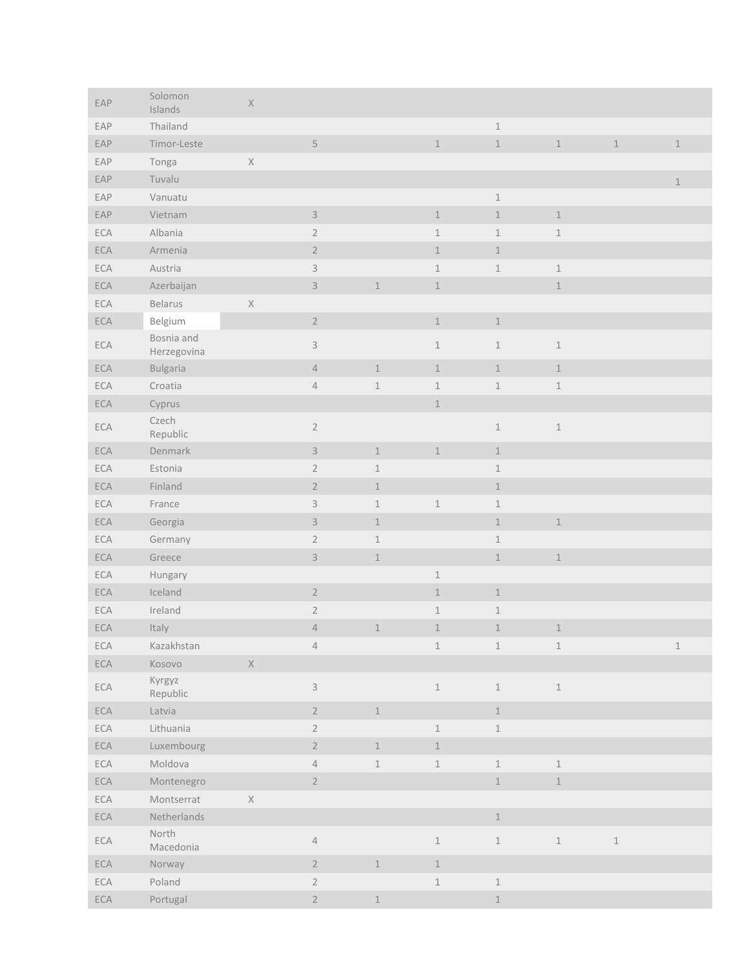| EAP | Solomon<br>Islands        | $\mathsf X$ |                           |               |                            |                            |                            |         |               |
|-----|---------------------------|-------------|---------------------------|---------------|----------------------------|----------------------------|----------------------------|---------|---------------|
| EAP | Thailand                  |             |                           |               |                            | $\,1\,$                    |                            |         |               |
| EAP | Timor-Leste               |             | $\mathsf S$               |               | $\perp$                    | $\,1\,$                    | $\,1\,$                    | $1\,$   | $\,1\,$       |
| EAP | Tonga                     | $\mathsf X$ |                           |               |                            |                            |                            |         |               |
| EAP | Tuvalu                    |             |                           |               |                            |                            |                            |         | $\mathbbm{1}$ |
| EAP | Vanuatu                   |             |                           |               |                            | $\,1\,$                    |                            |         |               |
| EAP | Vietnam                   |             | $\mathsf 3$               |               | $\,1\,$                    | $\,1\,$                    | $\,1\,$                    |         |               |
| ECA | Albania                   |             | $\sqrt{2}$                |               | $\mathbbm{1}$              | $\,1\,$                    | $\,1\,$                    |         |               |
| ECA | Armenia                   |             | $\sqrt{2}$                |               | $\perp$                    | $\perp$                    |                            |         |               |
| ECA | Austria                   |             | $\mathsf 3$               |               | $\perp$                    | $\,1\,$                    | $\,1\,$                    |         |               |
| ECA | Azerbaijan                |             | $\ensuremath{\mathsf{3}}$ | $1\,$         | $\perp$                    |                            | $\,1\,$                    |         |               |
| ECA | Belarus                   | $\mathsf X$ |                           |               |                            |                            |                            |         |               |
| ECA | Belgium                   |             | $\sqrt{2}$                |               | $\perp$                    | $\,1$                      |                            |         |               |
| ECA | Bosnia and<br>Herzegovina |             | $\ensuremath{\mathsf{3}}$ |               | $\perp$                    | $1\,$                      | $\,1\,$                    |         |               |
| ECA | <b>Bulgaria</b>           |             | $\sqrt{4}$                | $1\,$         | $\ensuremath{\mathbbm{1}}$ | $\,1\,$                    | $\,1\,$                    |         |               |
| ECA | Croatia                   |             | $\sqrt{4}$                | $\mathbbm{1}$ | $\,1\,$                    | $\,1\,$                    | $\,1\,$                    |         |               |
| ECA | Cyprus                    |             |                           |               | $\perp$                    |                            |                            |         |               |
| ECA | Czech<br>Republic         |             | $\sqrt{2}$                |               |                            | $\,1\,$                    | $\,1\,$                    |         |               |
| ECA | Denmark                   |             | $\ensuremath{\mathsf{3}}$ | $\mathbbm{1}$ | $\,1\,$                    | $\ensuremath{\mathbbm 1}$  |                            |         |               |
| ECA | Estonia                   |             | $\sqrt{2}$                | $\mathbbm{1}$ |                            | $\perp$                    |                            |         |               |
| ECA | Finland                   |             | $\sqrt{2}$                | $\perp$       |                            | $\perp$                    |                            |         |               |
| ECA | France                    |             | $\ensuremath{\mathsf{3}}$ | $\mathbbm{1}$ | $\mathbbm{1}$              | $\,1\,$                    |                            |         |               |
| ECA | Georgia                   |             | $\ensuremath{\mathsf{3}}$ | $1\,$         |                            | $\perp$                    | $\,1\,$                    |         |               |
| ECA | Germany                   |             | $\sqrt{2}$                | $\mathbbm{1}$ |                            | $\,1\,$                    |                            |         |               |
| ECA | Greece                    |             | $\mathsf 3$               | $\mathbbm{1}$ |                            | $\ensuremath{\mathbbm 1}$  | $\,1\,$                    |         |               |
| ECA | Hungary                   |             |                           |               | $\mathbf 1$                |                            |                            |         |               |
| ECA | Iceland                   |             | $\sqrt{2}$                |               | $\perp$                    | $\mathbbm{1}$              |                            |         |               |
| ECA | Ireland                   |             | $\sqrt{2}$                |               | $1\,$                      | $\perp$                    |                            |         |               |
| ECA | Italy                     |             | $\sqrt{4}$                | $\mathbbm{1}$ | $\perp$                    | $\perp$                    | $\ensuremath{\mathbbm{1}}$ |         |               |
| ECA | Kazakhstan                |             | $\sqrt{4}$                |               | $\,1\,$                    | $\,1\,$                    | $\,1\,$                    |         | $\mathbbm{1}$ |
| ECA | Kosovo                    | $\mathsf X$ |                           |               |                            |                            |                            |         |               |
| ECA | Kyrgyz<br>Republic        |             | $\mathsf 3$               |               | $\,1\,$                    | $\,1\,$                    | $\,1\,$                    |         |               |
| ECA | Latvia                    |             | $\overline{2}$            | $1\,$         |                            | $1\,$                      |                            |         |               |
| ECA | Lithuania                 |             | $\sqrt{2}$                |               | $1\,$                      | $\mathbbm{1}$              |                            |         |               |
| ECA | Luxembourg                |             | $\overline{2}$            | $\,1\,$       | $\ensuremath{\mathbbm{1}}$ |                            |                            |         |               |
| ECA | Moldova                   |             | $\sqrt{4}$                | $\mathbbm{1}$ | $\ensuremath{\mathbbm{1}}$ | $\,1\,$                    | $1\,$                      |         |               |
| ECA | Montenegro                |             | $\overline{2}$            |               |                            | $\,1\,$                    | $\,1\,$                    |         |               |
| ECA | Montserrat                | $\mathsf X$ |                           |               |                            |                            |                            |         |               |
| ECA | Netherlands               |             |                           |               |                            | $\ensuremath{\mathbbm{1}}$ |                            |         |               |
| ECA | North<br>Macedonia        |             | $\sqrt{4}$                |               | $\,1\,$                    | $\mathbbm{1}$              | $\,1\,$                    | $\,1\,$ |               |
| ECA | Norway                    |             | $\overline{2}$            | $\mathbbm{1}$ | $1\,$                      |                            |                            |         |               |
| ECA | Poland                    |             | $2\,$                     |               | $\ensuremath{\mathbbm{1}}$ | $\mathbbm{1}$              |                            |         |               |
| ECA | Portugal                  |             | $\overline{2}$            | $\,1$         |                            | $\perp$                    |                            |         |               |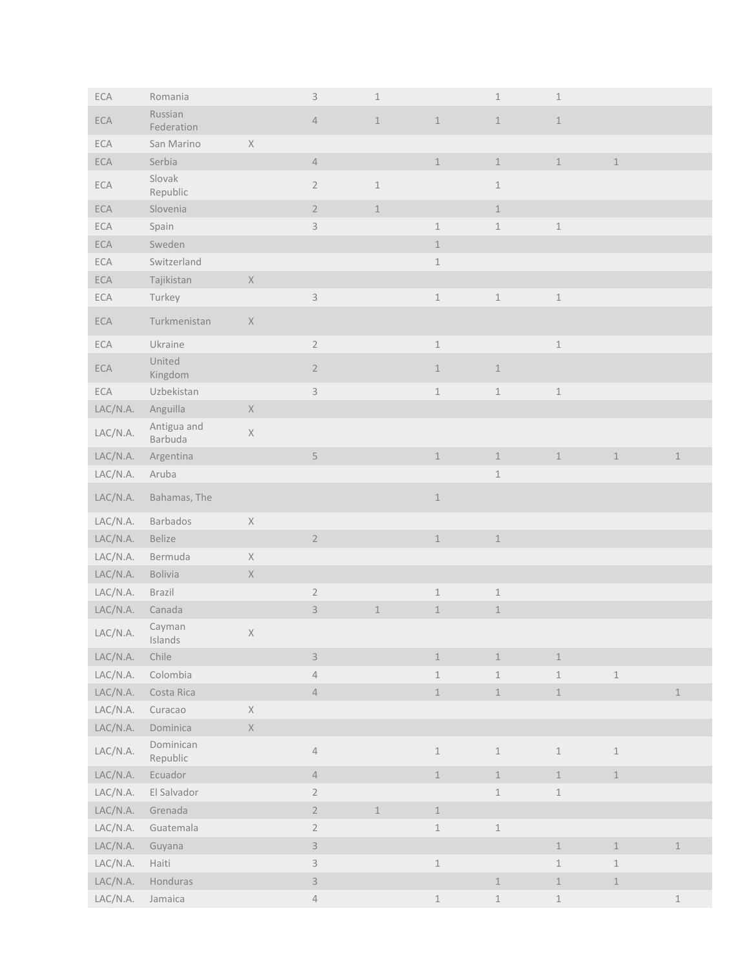| ECA                                     | Romania                |                                                                       | $\mathsf 3$               | $\mathbf 1$                |                            | $1\,$         | $1\,$                      |                            |                            |
|-----------------------------------------|------------------------|-----------------------------------------------------------------------|---------------------------|----------------------------|----------------------------|---------------|----------------------------|----------------------------|----------------------------|
| ECA                                     | Russian<br>Federation  |                                                                       | $\sqrt{4}$                | $\perp$                    | $\ensuremath{\mathbbm{1}}$ | $\,1\,$       | $\perp$                    |                            |                            |
| ECA                                     | San Marino             | $\mathsf X$                                                           |                           |                            |                            |               |                            |                            |                            |
| ECA                                     | Serbia                 |                                                                       | $\ensuremath{\mathsf{4}}$ |                            | $\,1\,$                    | $\mathbbm{1}$ | $\perp$                    | $\mathbbm{1}$              |                            |
| ECA                                     | Slovak<br>Republic     |                                                                       | $\sqrt{2}$                | $\mathbbm{1}$              |                            | $1\,$         |                            |                            |                            |
| ECA                                     | Slovenia               |                                                                       | $\overline{2}$            | $\,1\,$                    |                            | $\,1\,$       |                            |                            |                            |
| ECA                                     | Spain                  |                                                                       | $\mathsf{3}$              |                            | $\,1\,$                    | $\,1\,$       | $\mathbbm{1}$              |                            |                            |
| ECA                                     | Sweden                 |                                                                       |                           |                            | $\perp$                    |               |                            |                            |                            |
| ECA                                     | Switzerland            |                                                                       |                           |                            | $\,1\,$                    |               |                            |                            |                            |
| ECA                                     | Tajikistan             | $\mathsf X$                                                           |                           |                            |                            |               |                            |                            |                            |
| ECA                                     | Turkey                 |                                                                       | $\ensuremath{\mathsf{3}}$ |                            | $\ensuremath{\mathbbm 1}$  | $\mathbbm{1}$ | $\mathbbm{1}$              |                            |                            |
| ECA                                     | Turkmenistan           | $\mathsf X$                                                           |                           |                            |                            |               |                            |                            |                            |
| ECA                                     | Ukraine                |                                                                       | $\sqrt{2}$                |                            | $\,1\,$                    |               | $\ensuremath{\mathbbm{1}}$ |                            |                            |
| ECA                                     | United<br>Kingdom      |                                                                       | $\sqrt{2}$                |                            | $1$                        | $1\,$         |                            |                            |                            |
| ECA                                     | Uzbekistan             |                                                                       | $\mathsf S$               |                            | $\,1\,$                    | $\,1\,$       | $\mathbbm{1}$              |                            |                            |
| LAC/N.A.                                | Anguilla               | $\mathsf X$                                                           |                           |                            |                            |               |                            |                            |                            |
| LAC/N.A.                                | Antigua and<br>Barbuda | $\mathsf X$                                                           |                           |                            |                            |               |                            |                            |                            |
| LAC/N.A.                                | Argentina              |                                                                       | $\mathsf S$               |                            | $1\,$                      | $\mathbbm{1}$ | $\,1\,$                    | $\mathbbm{1}$              | $\,1\,$                    |
| LAC/N.A.                                | Aruba                  |                                                                       |                           |                            |                            | $\mathbbm{1}$ |                            |                            |                            |
| LAC/N.A.                                | Bahamas, The           |                                                                       |                           |                            | $\ensuremath{\mathbbm{1}}$ |               |                            |                            |                            |
| LAC/N.A.                                | Barbados               | $\mathsf{X}% _{\mathsf{X}}^{\prime}=\mathsf{X}_{\mathsf{X}}^{\prime}$ |                           |                            |                            |               |                            |                            |                            |
| LAC/N.A.                                | Belize                 |                                                                       | $\sqrt{2}$                |                            | $\,$ $\,$                  | $\,1\,$       |                            |                            |                            |
| LAC/N.A.                                | Bermuda                | $\mathsf X$                                                           |                           |                            |                            |               |                            |                            |                            |
| LAC/N.A.                                | Bolivia                | $\mathsf{X}% _{\mathsf{X}}^{\prime}=\mathsf{X}_{\mathsf{X}}^{\prime}$ |                           |                            |                            |               |                            |                            |                            |
| LAC/N.A.                                | Brazil                 |                                                                       | $\sqrt{2}$                |                            | $\,1\,$                    | $\,1\,$       |                            |                            |                            |
| LAC/N.A.                                | Canada                 |                                                                       | $\mathsf 3$               | $1\,$                      | $\,1\,$                    | $\,1$         |                            |                            |                            |
| $\ensuremath{\mathsf{LAC/N.A.}}\xspace$ | Cayman<br>Islands      | X                                                                     |                           |                            |                            |               |                            |                            |                            |
| LAC/N.A.                                | Chile                  |                                                                       | $\mathsf S$               |                            | $\ensuremath{\mathbbm{1}}$ | $\,1\,$       | $\,1\,$                    |                            |                            |
| LAC/N.A.                                | Colombia               |                                                                       | $\sqrt{4}$                |                            | $\ensuremath{\mathbbm{1}}$ | $\,1$         | $\,1\,$                    | $\,1\,$                    |                            |
| LAC/N.A.                                | Costa Rica             |                                                                       | $\ensuremath{\mathsf{4}}$ |                            | $1\,$                      | $\mathbbm{1}$ | $\ensuremath{\mathbbm{1}}$ |                            | $\perp$                    |
| LAC/N.A.                                | Curacao                | $\mathsf X$                                                           |                           |                            |                            |               |                            |                            |                            |
| LAC/N.A.                                | Dominica               | $\mathsf X$                                                           |                           |                            |                            |               |                            |                            |                            |
| LAC/N.A.                                | Dominican<br>Republic  |                                                                       | $\sqrt{4}$                |                            | $\,1$                      | $\,1$         | $\ensuremath{\mathbbm{1}}$ | $\,1$                      |                            |
| LAC/N.A.                                | Ecuador                |                                                                       | $\sqrt{4}$                |                            | $1\,$                      | $\,1$         | $\,1\,$                    | $\perp$                    |                            |
| LAC/N.A.                                | El Salvador            |                                                                       | $\sqrt{2}$                |                            |                            | $\mathbbm{1}$ | $\ensuremath{\mathbbm{1}}$ |                            |                            |
| LAC/N.A.                                | Grenada                |                                                                       | $\sqrt{2}$                | $\ensuremath{\mathbbm{1}}$ | $1\,$                      |               |                            |                            |                            |
| LAC/N.A.                                | Guatemala              |                                                                       | $\sqrt{2}$                |                            | $\,1$                      | $\,1$         |                            |                            |                            |
| LAC/N.A.                                | Guyana                 |                                                                       | $\mathsf 3$               |                            |                            |               | $\,1\,$                    | $1\,$                      | $\,1\,$                    |
| LAC/N.A.                                | Haiti                  |                                                                       | $\mathsf 3$               |                            | $\,1$                      |               | $\mathbbm{1}$              | $\ensuremath{\mathbbm{1}}$ |                            |
| LAC/N.A.                                | Honduras               |                                                                       | $\mathsf 3$               |                            |                            | $1\,$         | $1\,$                      | $1\,$                      |                            |
| LAC/N.A.                                | Jamaica                |                                                                       | $\overline{4}$            |                            | $\perp$                    | $\,1$         | $\ensuremath{\mathbbm{1}}$ |                            | $\ensuremath{\mathbbm{1}}$ |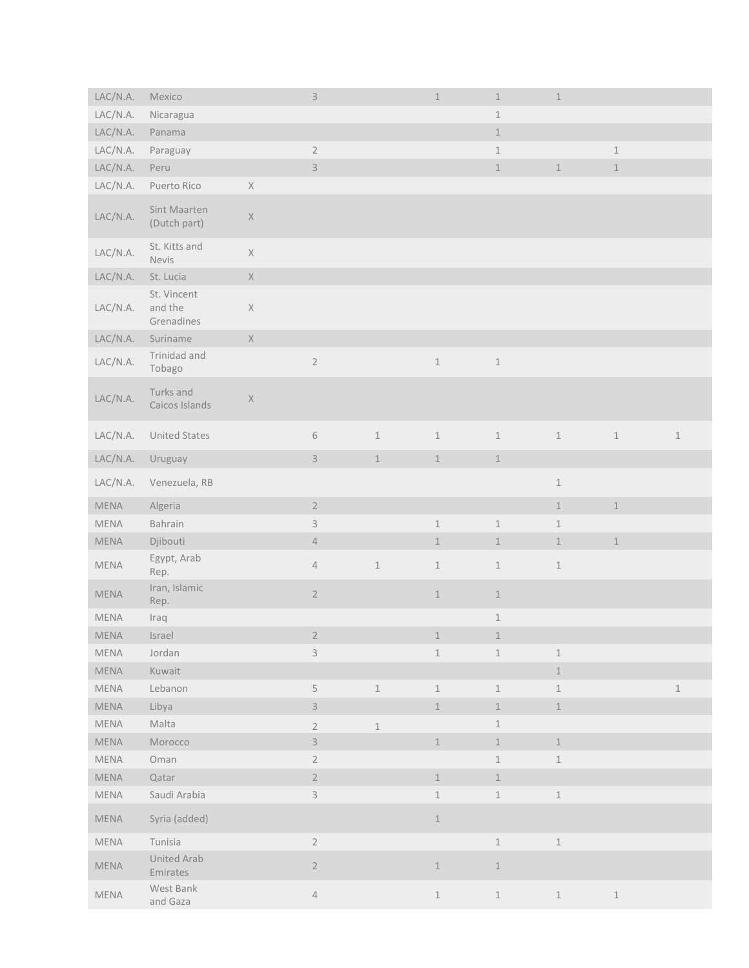| LAC/N.A.                     | Mexico                               |             | $\mathsf 3$               |                            | $\,1\,$                    | $\,1\,$                    | $\ensuremath{\mathbbm{1}}$ |               |               |
|------------------------------|--------------------------------------|-------------|---------------------------|----------------------------|----------------------------|----------------------------|----------------------------|---------------|---------------|
| LAC/N.A.                     | Nicaragua                            |             |                           |                            |                            | $\,1\,$                    |                            |               |               |
| LAC/N.A.                     | Panama                               |             |                           |                            |                            | $\ensuremath{\mathbbm{1}}$ |                            |               |               |
| LAC/N.A.                     | Paraguay                             |             | $\sqrt{2}$                |                            |                            | $\,1\,$                    |                            | $\mathbbm{1}$ |               |
| LAC/N.A.                     | Peru                                 |             | $\ensuremath{\mathsf{3}}$ |                            |                            | $\ensuremath{\mathbbm{1}}$ | $\ensuremath{\mathbbm{1}}$ | $1\,$         |               |
| LAC/N.A.                     | Puerto Rico                          | $\mathsf X$ |                           |                            |                            |                            |                            |               |               |
| LAC/N.A.                     | Sint Maarten<br>(Dutch part)         | $\mathsf X$ |                           |                            |                            |                            |                            |               |               |
| LAC/N.A.                     | St. Kitts and<br>Nevis               | $\mathsf X$ |                           |                            |                            |                            |                            |               |               |
| LAC/N.A.                     | St. Lucia                            | $\mathsf X$ |                           |                            |                            |                            |                            |               |               |
| LAC/N.A.                     | St. Vincent<br>and the<br>Grenadines | $\mathsf X$ |                           |                            |                            |                            |                            |               |               |
| LAC/N.A.                     | Suriname                             | $\mathsf X$ |                           |                            |                            |                            |                            |               |               |
| LAC/N.A.                     | Trinidad and<br>Tobago               |             | $\sqrt{2}$                |                            | $\,1\,$                    | $\,1$                      |                            |               |               |
| LAC/N.A.                     | Turks and<br>Caicos Islands          | $\mathsf X$ |                           |                            |                            |                            |                            |               |               |
| LAC/N.A.                     | <b>United States</b>                 |             | $\,$ $\,$ $\,$            | $\mathbbm{1}$              | $\,1\,$                    | $\,1\,$                    | $\,1\,$                    | $\mathbbm{1}$ | $\mathbbm{1}$ |
| LAC/N.A.                     | Uruguay                              |             | $\mathsf 3$               | $\mathbbm{1}$              | $\,1\,$                    | $\,1\,$                    |                            |               |               |
| LAC/N.A.                     | Venezuela, RB                        |             |                           |                            |                            |                            | $\,1\,$                    |               |               |
| MENA                         | Algeria                              |             | $\sqrt{2}$                |                            |                            |                            | $\,1\,$                    | $\perp$       |               |
| MENA                         | Bahrain                              |             | $\ensuremath{\mathsf{3}}$ |                            | $\,1\,$                    | $\,1\,$                    | $\mathbf 1$                |               |               |
| MENA                         | Djibouti                             |             | $\ensuremath{\mathsf{4}}$ |                            | $\perp$                    | $\ensuremath{\mathbbm{1}}$ | $\,1\,$                    | $\,1$         |               |
| MENA                         | Egypt, Arab<br>Rep.                  |             | $\sqrt{4}$                | $\,1\,$                    | $\,1\,$                    | $\,1\,$                    | $\,1\,$                    |               |               |
| MENA                         | Iran, Islamic<br>Rep.                |             | $\overline{2}$            |                            | $\,1\,$                    | $\ensuremath{\mathbbm{1}}$ |                            |               |               |
| MENA                         | Iraq                                 |             |                           |                            |                            | $\ensuremath{\mathbbm{1}}$ |                            |               |               |
| MENA                         | Israel                               |             | $\sqrt{2}$                |                            | $1\,$                      | $\,1$                      |                            |               |               |
| MENA                         | Jordan                               |             | $\mathsf 3$               |                            | $\perp$                    | $\,1\,$                    | $\perp$                    |               |               |
| MENA                         | Kuwait                               |             |                           |                            |                            |                            | $\,1\,$                    |               |               |
| MENA                         | Lebanon                              |             | $\mathsf S$               | $\mathbbm{1}$              | $\perp$                    | $\,1\,$                    | $\perp$                    |               | $\mathbbm{1}$ |
| MENA                         | Libya                                |             | $\ensuremath{\mathsf{3}}$ |                            | $1\,$                      | $\ensuremath{\mathbbm{1}}$ | $\ensuremath{\mathbbm{1}}$ |               |               |
| MENA                         | Malta                                |             | $\sqrt{2}$                | $\ensuremath{\mathbbm{1}}$ |                            | $\,1\,$                    |                            |               |               |
| MENA                         | Morocco                              |             | $\mathsf 3$               |                            | $1\,$                      | $\,1\,$                    | $\,1\,$                    |               |               |
| MENA                         | Oman                                 |             | $\sqrt{2}$                |                            |                            | $\,1\,$                    | $\,1\,$                    |               |               |
| MENA                         | Qatar                                |             | $\sqrt{2}$                |                            | $\mathbf 1$                | $\,1$                      |                            |               |               |
| $\ensuremath{\mathsf{MEMA}}$ | Saudi Arabia                         |             | $\mathsf 3$               |                            | $\,1\,$                    | $\ensuremath{\mathbbm{1}}$ | $\ensuremath{\mathbbm{1}}$ |               |               |
| MENA                         | Syria (added)                        |             |                           |                            | $1\,$                      |                            |                            |               |               |
| MENA                         | Tunisia                              |             | $\sqrt{2}$                |                            |                            | $\,1$                      | $\,1\,$                    |               |               |
| MENA                         | United Arab<br>Emirates              |             | $\overline{2}$            |                            | $\mathbf 1$                | $\ensuremath{\mathbbm{1}}$ |                            |               |               |
| MENA                         | West Bank<br>and Gaza                |             | $\sqrt{4}$                |                            | $\ensuremath{\mathbbm{1}}$ | $\mathbbm{1}$              | $\ensuremath{\mathbbm{1}}$ | $\,1\,$       |               |